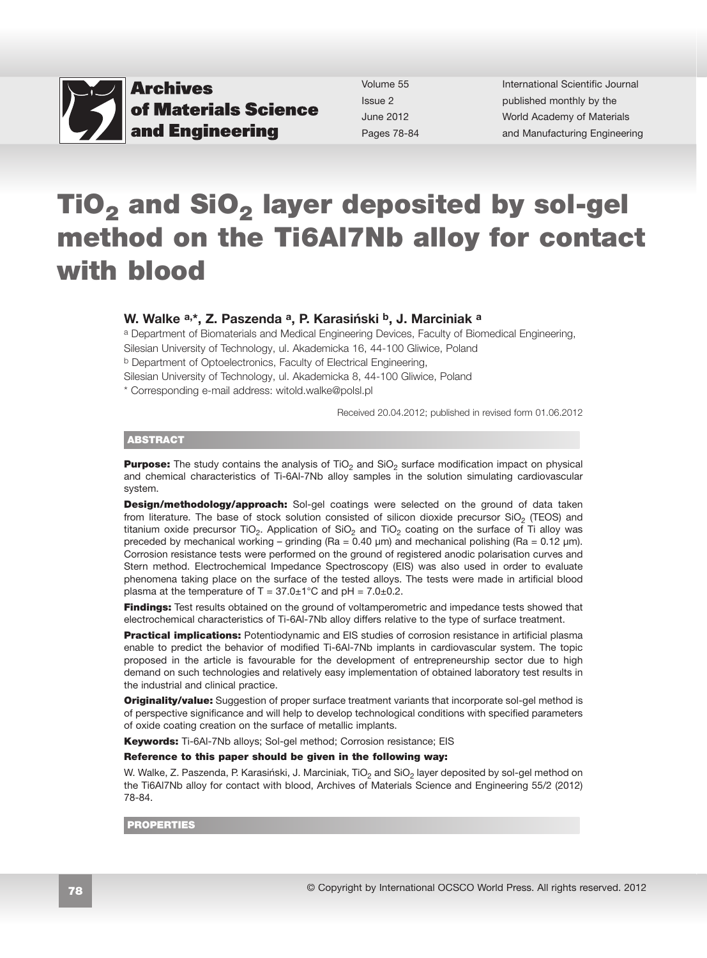

Volume 55 Issue 2 June 2012 Pages 78-84 International Scientific Journal published monthly by the World Academy of Materials [and Manufacturing Engineering](http://www.archivesmse.org)

# TiO<sub>2</sub> and SiO<sub>2</sub> layer deposited by sol-gel method on the Ti6Al7Nb alloy for contact with blood

### W. Walke a,\*, Z. Paszenda a, P. Karasiński b, J. Marciniak a

a Department of Biomaterials and Medical Engineering Devices, Faculty of Biomedical Engineering, Silesian University of Technology, ul. Akademicka 16, 44-100 Gliwice, Poland b Department of Optoelectronics, Faculty of Electrical Engineering,

Silesian University of Technology, ul. Akademicka 8, 44-100 Gliwice, Poland

\* Corresponding e-mail address: witold.walke@polsl.pl

Received 20.04.2012; published in revised form 01.06.2012

#### ABSTRACT

**Purpose:** The study contains the analysis of  $TiO<sub>2</sub>$  and  $SiO<sub>2</sub>$  surface modification impact on physical and chemical characteristics of Ti-6Al-7Nb alloy samples in the solution simulating cardiovascular system.

**Design/methodology/approach:** Sol-gel coatings were selected on the ground of data taken from literature. The base of stock solution consisted of silicon dioxide precursor SiO<sub>2</sub> (TEOS) and titanium oxide precursor TiO<sub>2</sub>. Application of SiO<sub>2</sub> and TiO<sub>2</sub> coating on the surface of Ti alloy was preceded by mechanical working – grinding ( $Ra = 0.40 \mu m$ ) and mechanical polishing ( $Ra = 0.12 \mu m$ ). Corrosion resistance tests were performed on the ground of registered anodic polarisation curves and Stern method. Electrochemical Impedance Spectroscopy (EIS) was also used in order to evaluate phenomena taking place on the surface of the tested alloys. The tests were made in artificial blood plasma at the temperature of  $T = 37.0 \pm 1^{\circ}$ C and pH = 7.0 $\pm$ 0.2.

**Findings:** Test results obtained on the ground of voltamperometric and impedance tests showed that electrochemical characteristics of Ti-6Al-7Nb alloy differs relative to the type of surface treatment.

**Practical implications:** Potentiodynamic and EIS studies of corrosion resistance in artificial plasma enable to predict the behavior of modified Ti-6Al-7Nb implants in cardiovascular system. The topic proposed in the article is favourable for the development of entrepreneurship sector due to high demand on such technologies and relatively easy implementation of obtained laboratory test results in the industrial and clinical practice.

**Originality/value:** Suggestion of proper surface treatment variants that incorporate sol-gel method is of perspective significance and will help to develop technological conditions with specified parameters of oxide coating creation on the surface of metallic implants.

Keywords: Ti-6Al-7Nb alloys; Sol-gel method; Corrosion resistance; EIS

#### Reference to this paper should be given in the following way:

W. Walke, Z. Paszenda, P. Karasiński, J. Marciniak, TiO<sub>2</sub> and SiO<sub>2</sub> layer deposited by sol-gel method on the Ti6Al7Nb alloy for contact with blood, Archives of Materials Science and Engineering 55/2 (2012) 78-84.

PROPERTIES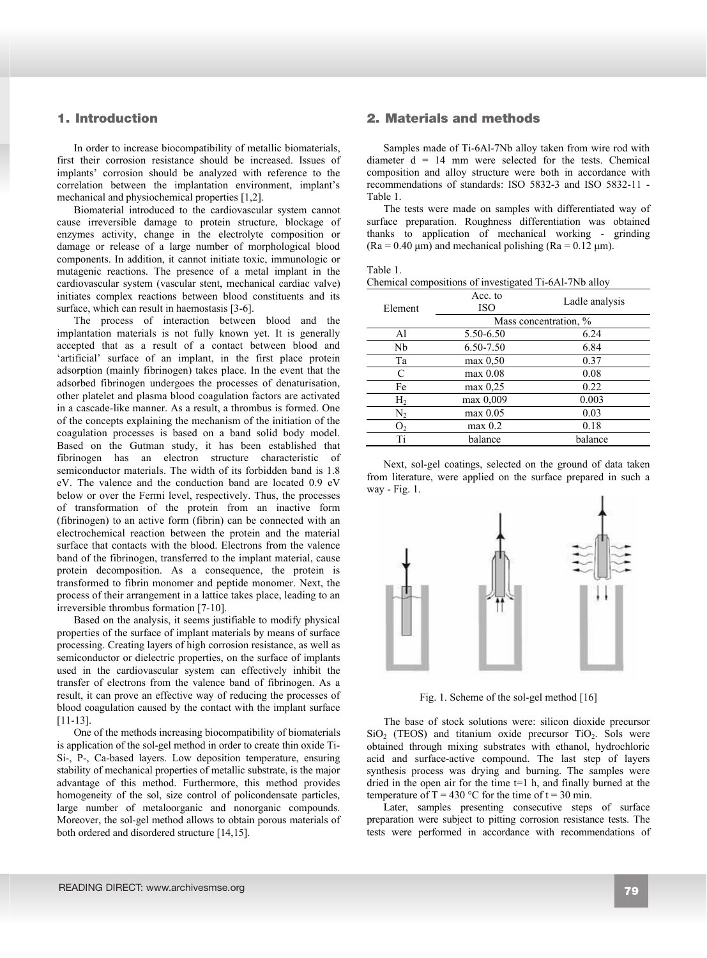## **1. Introduction**

In order to increase biocompatibility of metallic biomaterials, first their corrosion resistance should be increased. Issues of implants' corrosion should be analyzed with reference to the correlation between the implantation environment, implant's mechanical and physiochemical properties [1,2].

Biomaterial introduced to the cardiovascular system cannot cause irreversible damage to protein structure, blockage of enzymes activity, change in the electrolyte composition or damage or release of a large number of morphological blood components. In addition, it cannot initiate toxic, immunologic or mutagenic reactions. The presence of a metal implant in the cardiovascular system (vascular stent, mechanical cardiac valve) initiates complex reactions between blood constituents and its surface, which can result in haemostasis [3-6].

The process of interaction between blood and the implantation materials is not fully known yet. It is generally accepted that as a result of a contact between blood and 'artificial' surface of an implant, in the first place protein adsorption (mainly fibrinogen) takes place. In the event that the adsorbed fibrinogen undergoes the processes of denaturisation, other platelet and plasma blood coagulation factors are activated in a cascade-like manner. As a result, a thrombus is formed. One of the concepts explaining the mechanism of the initiation of the coagulation processes is based on a band solid body model. Based on the Gutman study, it has been established that fibrinogen has an electron structure characteristic of semiconductor materials. The width of its forbidden band is 1.8 eV. The valence and the conduction band are located 0.9 eV below or over the Fermi level, respectively. Thus, the processes of transformation of the protein from an inactive form (fibrinogen) to an active form (fibrin) can be connected with an electrochemical reaction between the protein and the material surface that contacts with the blood. Electrons from the valence band of the fibrinogen, transferred to the implant material, cause protein decomposition. As a consequence, the protein is transformed to fibrin monomer and peptide monomer. Next, the process of their arrangement in a lattice takes place, leading to an irreversible thrombus formation [7-10].

Based on the analysis, it seems justifiable to modify physical properties of the surface of implant materials by means of surface processing. Creating layers of high corrosion resistance, as well as semiconductor or dielectric properties, on the surface of implants used in the cardiovascular system can effectively inhibit the transfer of electrons from the valence band of fibrinogen. As a result, it can prove an effective way of reducing the processes of blood coagulation caused by the contact with the implant surface [11-13].

One of the methods increasing biocompatibility of biomaterials is application of the sol-gel method in order to create thin oxide Ti-Si-, P-, Ca-based layers. Low deposition temperature, ensuring stability of mechanical properties of metallic substrate, is the major advantage of this method. Furthermore, this method provides homogeneity of the sol, size control of policondensate particles, large number of metaloorganic and nonorganic compounds. Moreover, the sol-gel method allows to obtain porous materials of both ordered and disordered structure [14,15].

# **2. Materials and methods**  1. Introduction 2. Materials and methods

Samples made of Ti-6Al-7Nb alloy taken from wire rod with diameter  $d = 14$  mm were selected for the tests. Chemical composition and alloy structure were both in accordance with recommendations of standards: ISO 5832-3 and ISO 5832-11 - Table 1.

The tests were made on samples with differentiated way of surface preparation. Roughness differentiation was obtained thanks to application of mechanical working - grinding  $(Ra = 0.40 \text{ µm})$  and mechanical polishing  $(Ra = 0.12 \text{ µm})$ .

| able |  |
|------|--|
|      |  |

| Chemical compositions of investigated Ti-6Al-7Nb alloy |  |
|--------------------------------------------------------|--|
|--------------------------------------------------------|--|

| Element        | Acc. to<br><b>ISO</b> | Ladle analysis |  |  |
|----------------|-----------------------|----------------|--|--|
|                | Mass concentration, % |                |  |  |
| Al             | 5.50-6.50             | 6.24           |  |  |
| Nb             | 6.50-7.50             | 6.84           |  |  |
| Ta             | $max\ 0.50$           | 0.37           |  |  |
| C              | $max$ 0.08            | 0.08           |  |  |
| Fe             | $max\ 0.25$           | 0.22           |  |  |
| H <sub>2</sub> | max 0,009             | 0.003          |  |  |
| N,             | max 0.05              | 0.03           |  |  |
| О,             | $max$ 0.2             | 0.18           |  |  |
| Ti             | balance               | balance        |  |  |

Next, sol-gel coatings, selected on the ground of data taken from literature, were applied on the surface prepared in such a way - Fig. 1.



Fig. 1. Scheme of the sol-gel method [16]

The base of stock solutions were: silicon dioxide precursor  $SiO<sub>2</sub>$  (TEOS) and titanium oxide precursor TiO<sub>2</sub>. Sols were obtained through mixing substrates with ethanol, hydrochloric acid and surface-active compound. The last step of layers synthesis process was drying and burning. The samples were dried in the open air for the time  $t=1$  h, and finally burned at the temperature of  $T = 430$  °C for the time of  $t = 30$  min.

Later, samples presenting consecutive steps of surface preparation were subject to pitting corrosion resistance tests. The tests were performed in accordance with recommendations of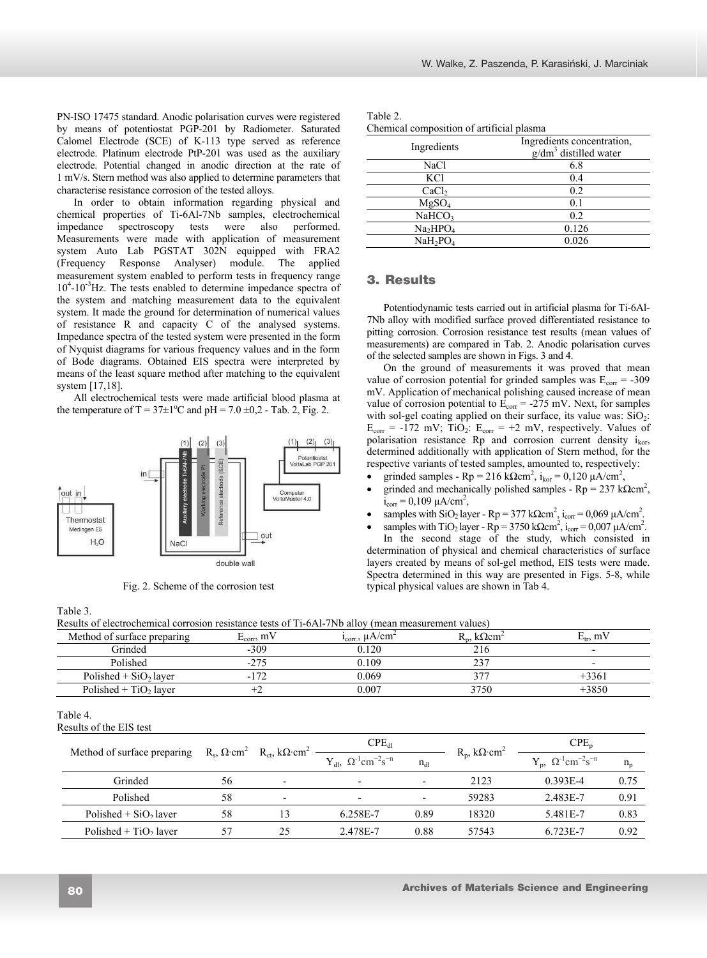PN-ISO 17475 standard. Anodic polarisation curves were registered by means of potentiostat PGP-201 by Radiometer. Saturated Calomel Electrode (SCE) of K-113 type served as reference electrode. Platinum electrode PtP-201 was used as the auxiliary electrode. Potential changed in anodic direction at the rate of 1 mV/s. Stern method was also applied to determine parameters that characterise resistance corrosion of the tested alloys.

In order to obtain information regarding physical and chemical properties of Ti-6Al-7Nb samples, electrochemical impedance spectroscopy tests were also performed. Measurements were made with application of measurement system Auto Lab PGSTAT 302N equipped with FRA2 (Frequency Response Analyser) module. The applied measurement system enabled to perform tests in frequency range 10<sup>4</sup>-10<sup>-3</sup>Hz. The tests enabled to determine impedance spectra of the system and matching measurement data to the equivalent system. It made the ground for determination of numerical values of resistance R and capacity C of the analysed systems. Impedance spectra of the tested system were presented in the form of Nyquist diagrams for various frequency values and in the form of Bode diagrams. Obtained EIS spectra were interpreted by means of the least square method after matching to the equivalent system [17,18].

All electrochemical tests were made artificial blood plasma at the temperature of T =  $37\pm1$ <sup>o</sup>C and pH =  $7.0 \pm 0.2$  - Tab. 2, Fig. 2.



Fig. 2. Scheme of the corrosion test

Table 2. Chemical composition of artificial plasma

| Chemical composition of artificial plasma |                                                       |  |  |  |  |
|-------------------------------------------|-------------------------------------------------------|--|--|--|--|
| Ingredients                               | Ingredients concentration,<br>$g/dm3$ distilled water |  |  |  |  |
| <b>NaCl</b>                               | 6.8                                                   |  |  |  |  |
| KCl                                       | 0.4                                                   |  |  |  |  |
| CaCl <sub>2</sub>                         | 0.2                                                   |  |  |  |  |
| MgSO <sub>4</sub>                         | 0.1                                                   |  |  |  |  |
| NaHCO <sub>3</sub>                        | 0.2                                                   |  |  |  |  |
| Na <sub>2</sub> HPO <sub>4</sub>          | 0.126                                                 |  |  |  |  |
| $NaH_2PO_4$                               | 0.026                                                 |  |  |  |  |
|                                           |                                                       |  |  |  |  |

## **3. Results**  3. Results

Potentiodynamic tests carried out in artificial plasma for Ti-6Al-7Nb alloy with modified surface proved differentiated resistance to pitting corrosion. Corrosion resistance test results (mean values of measurements) are compared in Tab. 2. Anodic polarisation curves of the selected samples are shown in Figs. 3 and 4.

On the ground of measurements it was proved that mean value of corrosion potential for grinded samples was  $E_{corr} = -309$ mV. Application of mechanical polishing caused increase of mean value of corrosion potential to  $E_{corr} = -275$  mV. Next, for samples with sol-gel coating applied on their surface, its value was:  $SiO<sub>2</sub>$ :  $E_{corr} = -172$  mV;  $TiO<sub>2</sub>$ :  $E<sub>corr</sub> = +2$  mV, respectively. Values of polarisation resistance Rp and corrosion current density  $i_{k_0r}$ , determined additionally with application of Stern method, for the respective variants of tested samples, amounted to, respectively:

- grinded samples Rp = 216 k $\Omega$ cm<sup>2</sup>, i<sub>kor</sub> = 0,120 µA/cm<sup>2</sup>,
- grinded and mechanically polished samples  $Rp = 237 k\Omega \text{cm}^2$ ,  $i_{corr} = 0,109 \mu A/cm^2$ ,
- samples with SiO<sub>2</sub> layer Rp = 377 kQcm<sup>2</sup>, i<sub>corr</sub> = 0,069  $\mu$ A/cm<sup>2</sup>.
- samples with TiO<sub>2</sub> layer Rp = 3750 k $\Omega$ cm<sup>2</sup>, i<sub>corr</sub> = 0,007 µA/cm<sup>2</sup>.

In the second stage of the study, which consisted in determination of physical and chemical characteristics of surface layers created by means of sol-gel method, EIS tests were made. Spectra determined in this way are presented in Figs. 5-8, while typical physical values are shown in Tab 4.

| `able |  |
|-------|--|
|-------|--|

| Results of electrochemical corrosion resistance tests of Ti-6Al-7Nb alloy (mean measurement values) |                          |               |                                |                |  |  |
|-----------------------------------------------------------------------------------------------------|--------------------------|---------------|--------------------------------|----------------|--|--|
| Method of surface preparing                                                                         | m'<br>-corr <sub>2</sub> | /cr<br>"corr. | $_{\rm low}$<br>$\mathbf{u}_n$ | m <sub>v</sub> |  |  |

| ivielhou of surface preparing       | $E_{\text{corr}}$ , III V                                               |                          | $I_{\text{corr}}$ , $\mu$ A/CIII                          |                          | $K_n$ , KS 2CM                      | $E_{tr}$ , III V                                       |         |
|-------------------------------------|-------------------------------------------------------------------------|--------------------------|-----------------------------------------------------------|--------------------------|-------------------------------------|--------------------------------------------------------|---------|
| Grinded                             | $-309$                                                                  |                          | 0.120                                                     |                          | 216                                 |                                                        |         |
| Polished                            | $-275$                                                                  |                          | 0.109                                                     |                          | 237                                 |                                                        |         |
| Polished + $SiO2$ layer             | $-172$                                                                  |                          | 0.069                                                     |                          | 377                                 | $+3361$                                                |         |
| Polished + $TiO2$ layer             |                                                                         | $+2$                     | 0.007                                                     |                          | 3750                                | $+3850$                                                |         |
| Table 4.<br>Results of the EIS test |                                                                         |                          |                                                           |                          |                                     |                                                        |         |
| Method of surface preparing         | $R_s$ , $\Omega$ ·cm <sup>2</sup> $R_{ct}$ , $k\Omega$ ·cm <sup>2</sup> |                          | $CPE_{dl}$                                                |                          |                                     | $CPE_p$                                                |         |
|                                     |                                                                         |                          | $Y_{dl}$ , $\Omega^{-1}$ cm <sup>-2</sup> s <sup>-n</sup> | $n_{d1}$                 | $R_p$ , k $\Omega$ ·cm <sup>2</sup> | $Y_p$ , $\Omega^{-1}$ cm <sup>-2</sup> s <sup>-n</sup> | $n_{p}$ |
| Grinded                             | 56                                                                      | $\overline{\phantom{a}}$ | $\overline{\phantom{a}}$                                  |                          | 2123                                | $0.393E - 4$                                           | 0.75    |
| Polished                            | 58                                                                      | $\overline{\phantom{a}}$ | -                                                         | $\overline{\phantom{a}}$ | 59283                               | 2.483E-7                                               | 0.91    |
| Polished $+$ SiO <sub>2</sub> laver | 58                                                                      | 13                       | 6.258E-7                                                  | 0.89                     | 18320                               | 5.481E-7                                               | 0.83    |
| Polished $+$ TiO <sub>2</sub> layer | 57                                                                      | 25                       | 2.478E-7                                                  | 0.88                     | 57543                               | 6.723E-7                                               | 0.92    |
|                                     |                                                                         |                          |                                                           |                          |                                     |                                                        |         |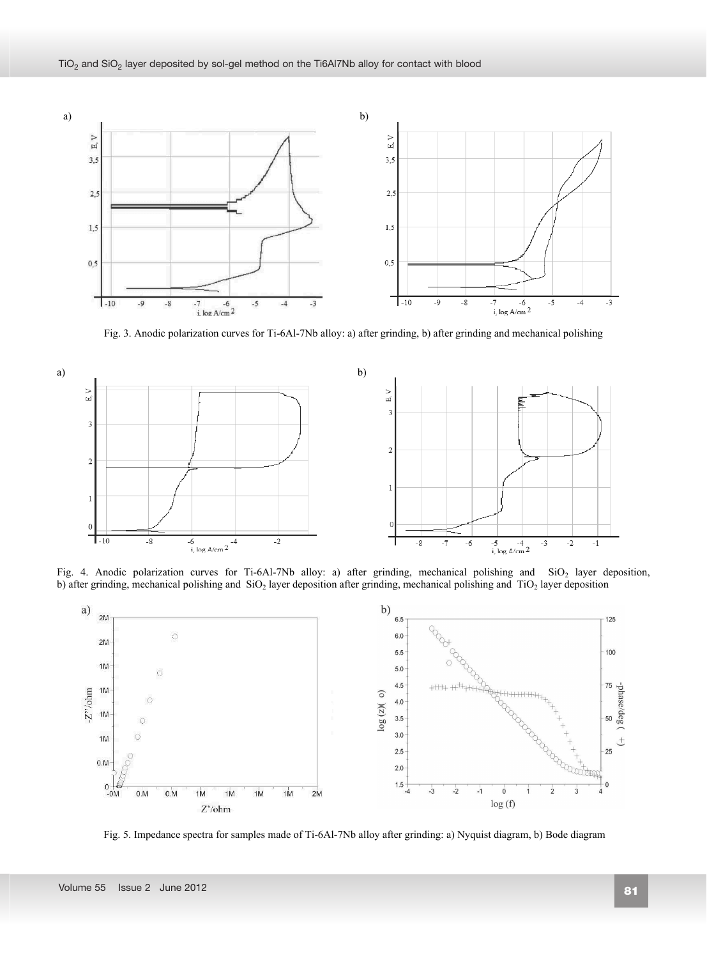

Fig. 3. Anodic polarization curves for Ti-6Al-7Nb alloy: a) after grinding, b) after grinding and mechanical polishing



Fig. 4. Anodic polarization curves for Ti-6Al-7Nb alloy: a) after grinding, mechanical polishing and SiO<sub>2</sub> layer deposition, b) after grinding, mechanical polishing and SiO<sub>2</sub> layer deposition after grinding, mechanical polishing and TiO<sub>2</sub> layer deposition



Fig. 5. Impedance spectra for samples made of Ti-6Al-7Nb alloy after grinding: a) Nyquist diagram, b) Bode diagram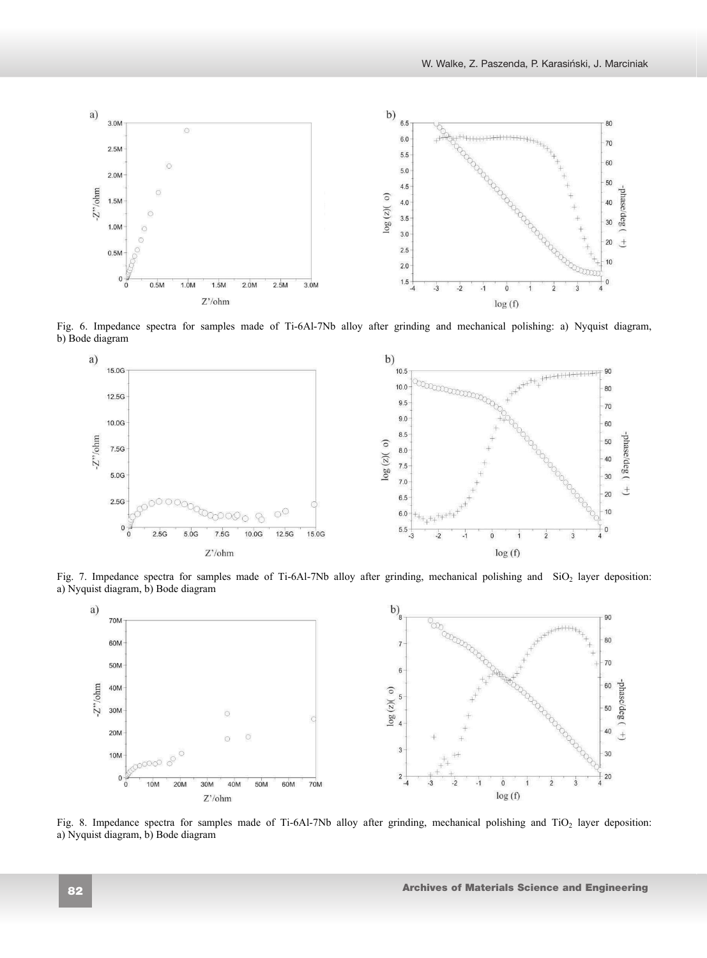

Fig. 6. Impedance spectra for samples made of Ti-6Al-7Nb alloy after grinding and mechanical polishing: a) Nyquist diagram, b) Bode diagram



Fig. 7. Impedance spectra for samples made of Ti-6Al-7Nb alloy after grinding, mechanical polishing and  $SiO<sub>2</sub>$  layer deposition: a) Nyquist diagram, b) Bode diagram



Fig. 8. Impedance spectra for samples made of Ti-6Al-7Nb alloy after grinding, mechanical polishing and TiO<sub>2</sub> layer deposition: a) Nyquist diagram, b) Bode diagram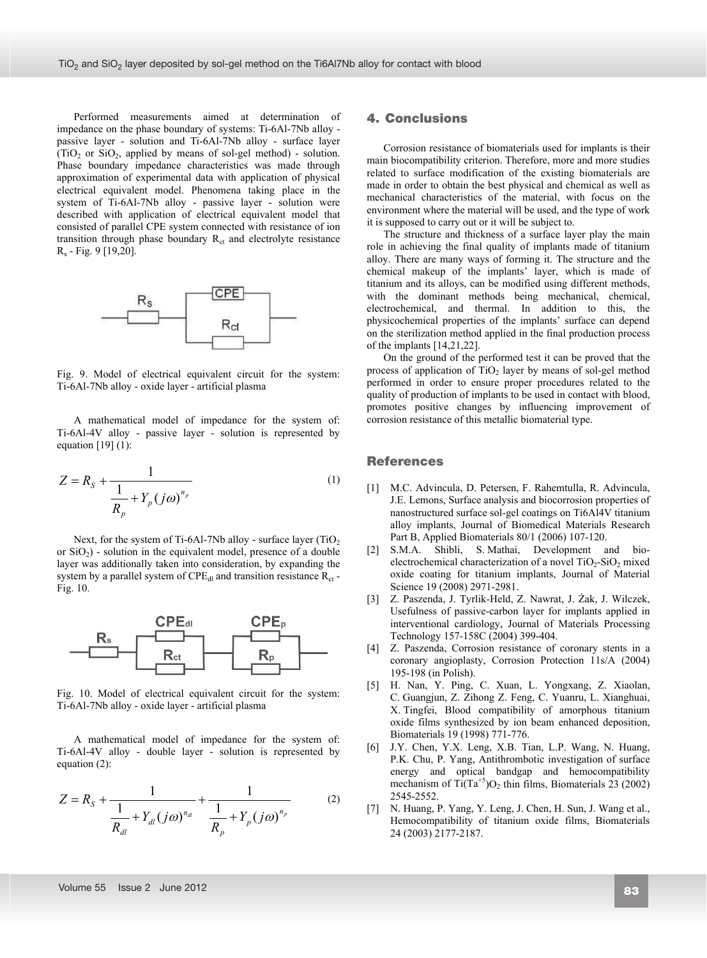Performed measurements aimed at determination of impedance on the phase boundary of systems: Ti-6Al-7Nb alloy passive layer - solution and Ti-6Al-7Nb alloy - surface layer (TiO<sub>2</sub> or SiO<sub>2</sub>, applied by means of sol-gel method) - solution. Phase boundary impedance characteristics was made through approximation of experimental data with application of physical electrical equivalent model. Phenomena taking place in the system of Ti-6Al-7Nb alloy - passive layer - solution were described with application of electrical equivalent model that consisted of parallel CPE system connected with resistance of ion transition through phase boundary  $R<sub>ct</sub>$  and electrolyte resistance Rs - Fig. 9 [19,20].



Fig. 9. Model of electrical equivalent circuit for the system: Ti-6Al-7Nb alloy - oxide layer - artificial plasma

A mathematical model of impedance for the system of: Ti-6Al-4V alloy - passive layer - solution is represented by equation  $[19] (1)$ :

$$
Z = R_{S} + \frac{1}{\frac{1}{R_{p}} + Y_{p}(j\omega)^{n_{p}}}
$$
 (1)

Next, for the system of Ti-6Al-7Nb alloy - surface layer  $(TiO<sub>2</sub>)$ or  $SiO<sub>2</sub>$ ) - solution in the equivalent model, presence of a double layer was additionally taken into consideration, by expanding the system by a parallel system of  $\text{CPE}_{\text{dl}}$  and transition resistance  $\text{R}_{\text{ct}}$  -Fig. 10.



Fig. 10. Model of electrical equivalent circuit for the system: Ti-6Al-7Nb alloy - oxide layer - artificial plasma

A mathematical model of impedance for the system of: Ti-6Al-4V alloy - double layer - solution is represented by equation (2):

$$
Z = R_{S} + \frac{1}{\frac{1}{R_{dl}} + Y_{dl}(j\omega)^{n_{dl}}} + \frac{1}{\frac{1}{R_{p}} + Y_{p}(j\omega)^{n_{p}}}
$$
(2)

# **4. Conclusions**  4. Conclusions

Corrosion resistance of biomaterials used for implants is their main biocompatibility criterion. Therefore, more and more studies related to surface modification of the existing biomaterials are made in order to obtain the best physical and chemical as well as mechanical characteristics of the material, with focus on the environment where the material will be used, and the type of work it is supposed to carry out or it will be subject to.

The structure and thickness of a surface layer play the main role in achieving the final quality of implants made of titanium alloy. There are many ways of forming it. The structure and the chemical makeup of the implants' layer, which is made of titanium and its alloys, can be modified using different methods, with the dominant methods being mechanical, chemical, electrochemical, and thermal. In addition to this, the physicochemical properties of the implants' surface can depend on the sterilization method applied in the final production process of the implants [14,21,22].

On the ground of the performed test it can be proved that the process of application of  $TiO<sub>2</sub>$  layer by means of sol-gel method performed in order to ensure proper procedures related to the quality of production of implants to be used in contact with blood, promotes positive changes by influencing improvement of corrosion resistance of this metallic biomaterial type.

## **References**  References

- [1] M.C. Advincula, D. Petersen, F. Rahemtulla, R. Advincula, J.E. Lemons, Surface analysis and biocorrosion properties of nanostructured surface sol-gel coatings on Ti6Al4V titanium alloy implants, Journal of Biomedical Materials Research Part B, Applied Biomaterials 80/1 (2006) 107-120.
- [2] S.M.A. Shibli, S. Mathai, Development and bioelectrochemical characterization of a novel  $TiO<sub>2</sub>-SiO<sub>2</sub>$  mixed oxide coating for titanium implants, Journal of Material Science 19 (2008) 2971-2981.
- [3] Z. Paszenda, J. Tyrlik-Held, Z. Nawrat, J. Żak, J. Wilczek, Usefulness of passive-carbon layer for implants applied in interventional cardiology, Journal of Materials Processing Technology 157-158C (2004) 399-404.
- [4] Z. Paszenda, Corrosion resistance of coronary stents in a coronary angioplasty, Corrosion Protection 11s/A (2004) 195-198 (in Polish).
- [5] H. Nan, Y. Ping, C. Xuan, L. Yongxang, Z. Xiaolan, C. Guangjun, Z. Zihong Z. Feng, C. Yuanru, L. Xianghuai, X. Tingfei, Blood compatibility of amorphous titanium oxide films synthesized by ion beam enhanced deposition, Biomaterials 19 (1998) 771-776.
- [6] J.Y. Chen, Y.X. Leng, X.B. Tian, L.P. Wang, N. Huang, P.K. Chu, P. Yang, Antithrombotic investigation of surface energy and optical bandgap and hemocompatibility mechanism of Ti $(Ta^{+5})O<sub>2</sub>$  thin films, Biomaterials 23 (2002) 2545-2552.
- [7] N. Huang, P. Yang, Y. Leng, J. Chen, H. Sun, J. Wang et al., Hemocompatibility of titanium oxide films, Biomaterials 24 (2003) 2177-2187.